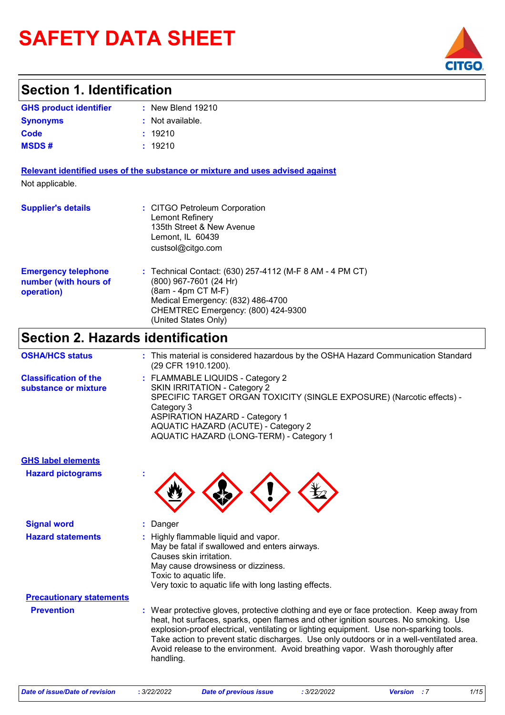# **SAFETY DATA SHEET**



### **Section 1. Identification**

| <b>GHS product identifier</b> | $:$ New Blend 19210 |
|-------------------------------|---------------------|
| <b>Synonyms</b>               | : Not available.    |
| Code                          | : 19210             |
| MSDS #                        | : 19210             |

**Relevant identified uses of the substance or mixture and uses advised against** Not applicable.

| <b>Supplier's details</b>                                         | : CITGO Petroleum Corporation<br>Lemont Refinery<br>135th Street & New Avenue<br>Lemont, IL 60439<br>custsol@citgo.com                                                                                      |  |
|-------------------------------------------------------------------|-------------------------------------------------------------------------------------------------------------------------------------------------------------------------------------------------------------|--|
| <b>Emergency telephone</b><br>number (with hours of<br>operation) | : Technical Contact: (630) 257-4112 (M-F 8 AM - 4 PM CT)<br>(800) 967-7601 (24 Hr)<br>(8am - 4pm CT M-F)<br>Medical Emergency: (832) 486-4700<br>CHEMTREC Emergency: (800) 424-9300<br>(United States Only) |  |

## **Section 2. Hazards identification**

| <b>OSHA/HCS status</b>                               | : This material is considered hazardous by the OSHA Hazard Communication Standard<br>(29 CFR 1910.1200).                                                                                                                                                                                  |
|------------------------------------------------------|-------------------------------------------------------------------------------------------------------------------------------------------------------------------------------------------------------------------------------------------------------------------------------------------|
| <b>Classification of the</b><br>substance or mixture | : FLAMMABLE LIQUIDS - Category 2<br><b>SKIN IRRITATION - Category 2</b><br>SPECIFIC TARGET ORGAN TOXICITY (SINGLE EXPOSURE) (Narcotic effects) -<br>Category 3<br><b>ASPIRATION HAZARD - Category 1</b><br>AQUATIC HAZARD (ACUTE) - Category 2<br>AQUATIC HAZARD (LONG-TERM) - Category 1 |

| <b>GHS label elements</b>       |                                                                                                                                                                                                                                                                                                                                                                                                                                                                       |
|---------------------------------|-----------------------------------------------------------------------------------------------------------------------------------------------------------------------------------------------------------------------------------------------------------------------------------------------------------------------------------------------------------------------------------------------------------------------------------------------------------------------|
| <b>Hazard pictograms</b>        |                                                                                                                                                                                                                                                                                                                                                                                                                                                                       |
| <b>Signal word</b>              | : Danger                                                                                                                                                                                                                                                                                                                                                                                                                                                              |
| <b>Hazard statements</b>        | : Highly flammable liquid and vapor.<br>May be fatal if swallowed and enters airways.<br>Causes skin irritation.<br>May cause drowsiness or dizziness.<br>Toxic to aquatic life.<br>Very toxic to aquatic life with long lasting effects.                                                                                                                                                                                                                             |
| <b>Precautionary statements</b> |                                                                                                                                                                                                                                                                                                                                                                                                                                                                       |
| <b>Prevention</b>               | : Wear protective gloves, protective clothing and eye or face protection. Keep away from<br>heat, hot surfaces, sparks, open flames and other ignition sources. No smoking. Use<br>explosion-proof electrical, ventilating or lighting equipment. Use non-sparking tools.<br>Take action to prevent static discharges. Use only outdoors or in a well-ventilated area.<br>Avoid release to the environment. Avoid breathing vapor. Wash thoroughly after<br>handling. |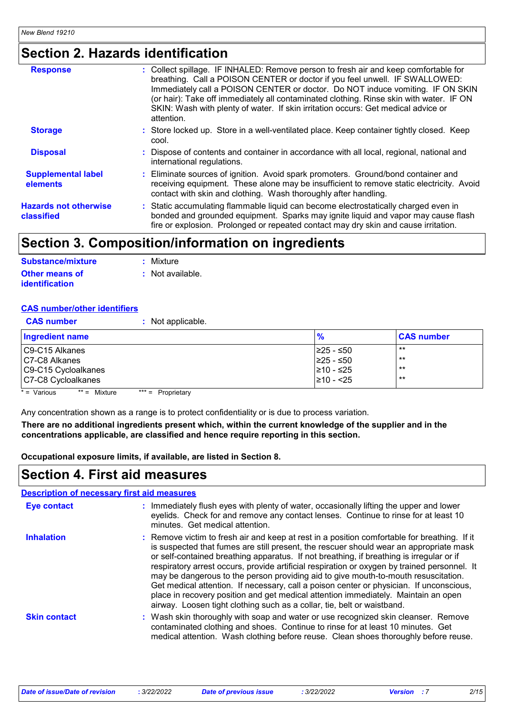## **Section 2. Hazards identification**

| <b>Response</b>                            | : Collect spillage. IF INHALED: Remove person to fresh air and keep comfortable for<br>breathing. Call a POISON CENTER or doctor if you feel unwell. IF SWALLOWED:<br>Immediately call a POISON CENTER or doctor. Do NOT induce vomiting. IF ON SKIN<br>(or hair): Take off immediately all contaminated clothing. Rinse skin with water. IF ON<br>SKIN: Wash with plenty of water. If skin irritation occurs: Get medical advice or<br>attention. |
|--------------------------------------------|----------------------------------------------------------------------------------------------------------------------------------------------------------------------------------------------------------------------------------------------------------------------------------------------------------------------------------------------------------------------------------------------------------------------------------------------------|
| <b>Storage</b>                             | : Store locked up. Store in a well-ventilated place. Keep container tightly closed. Keep<br>cool.                                                                                                                                                                                                                                                                                                                                                  |
| <b>Disposal</b>                            | : Dispose of contents and container in accordance with all local, regional, national and<br>international regulations.                                                                                                                                                                                                                                                                                                                             |
| <b>Supplemental label</b><br>elements      | : Eliminate sources of ignition. Avoid spark promoters. Ground/bond container and<br>receiving equipment. These alone may be insufficient to remove static electricity. Avoid<br>contact with skin and clothing. Wash thoroughly after handling.                                                                                                                                                                                                   |
| <b>Hazards not otherwise</b><br>classified | : Static accumulating flammable liquid can become electrostatically charged even in<br>bonded and grounded equipment. Sparks may ignite liquid and vapor may cause flash<br>fire or explosion. Prolonged or repeated contact may dry skin and cause irritation.                                                                                                                                                                                    |

### **Section 3. Composition/information on ingredients**

| Substance/mixture     | : Mixture                   |
|-----------------------|-----------------------------|
| <b>Other means of</b> | $\therefore$ Not available. |
| <i>identification</i> |                             |

#### **CAS number/other identifiers**

| <b>CAS number</b>      | : Not applicable. |                |                   |
|------------------------|-------------------|----------------|-------------------|
| <b>Ingredient name</b> |                   | %              | <b>CAS number</b> |
| C9-C15 Alkanes         |                   | I≥25 - ≤50     | $***$             |
| C7-C8 Alkanes          |                   | $≥25 - ≤50$    | $***$             |
| C9-C15 Cycloalkanes    |                   | ≥10 - ≤25      | $***$             |
| C7-C8 Cycloalkanes     |                   | $\geq 10 - 25$ | $***$             |

 $* =$  Various  $** =$  Mixture  $*** =$  Proprietary

Any concentration shown as a range is to protect confidentiality or is due to process variation.

**There are no additional ingredients present which, within the current knowledge of the supplier and in the concentrations applicable, are classified and hence require reporting in this section.**

**Occupational exposure limits, if available, are listed in Section 8.**

### **Section 4. First aid measures**

#### **Description of necessary first aid measures**

| <b>Eye contact</b>  | : Immediately flush eyes with plenty of water, occasionally lifting the upper and lower<br>eyelids. Check for and remove any contact lenses. Continue to rinse for at least 10<br>minutes. Get medical attention.                                                                                                                                                                                                                                                                                                                                                                                                                                                                                                                    |
|---------------------|--------------------------------------------------------------------------------------------------------------------------------------------------------------------------------------------------------------------------------------------------------------------------------------------------------------------------------------------------------------------------------------------------------------------------------------------------------------------------------------------------------------------------------------------------------------------------------------------------------------------------------------------------------------------------------------------------------------------------------------|
| <b>Inhalation</b>   | : Remove victim to fresh air and keep at rest in a position comfortable for breathing. If it<br>is suspected that fumes are still present, the rescuer should wear an appropriate mask<br>or self-contained breathing apparatus. If not breathing, if breathing is irregular or if<br>respiratory arrest occurs, provide artificial respiration or oxygen by trained personnel. It<br>may be dangerous to the person providing aid to give mouth-to-mouth resuscitation.<br>Get medical attention. If necessary, call a poison center or physician. If unconscious,<br>place in recovery position and get medical attention immediately. Maintain an open<br>airway. Loosen tight clothing such as a collar, tie, belt or waistband. |
| <b>Skin contact</b> | : Wash skin thoroughly with soap and water or use recognized skin cleanser. Remove<br>contaminated clothing and shoes. Continue to rinse for at least 10 minutes. Get<br>medical attention. Wash clothing before reuse. Clean shoes thoroughly before reuse.                                                                                                                                                                                                                                                                                                                                                                                                                                                                         |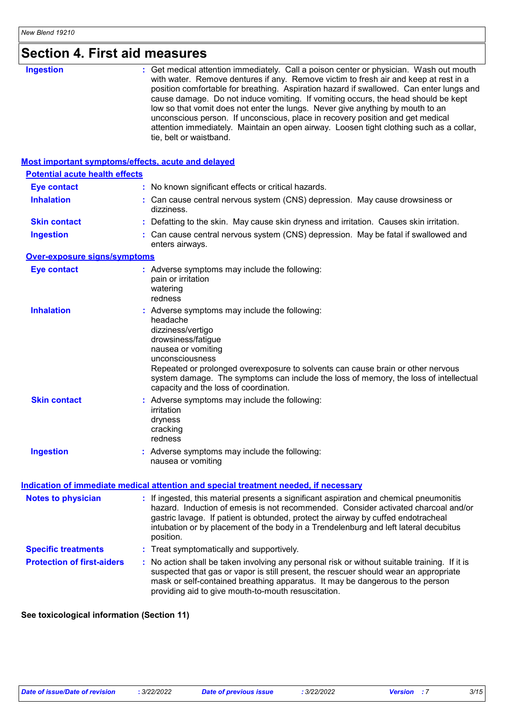| <b>Section 4. First aid measures</b> |
|--------------------------------------|

| <b>Ingestion</b>                                          | : Get medical attention immediately. Call a poison center or physician. Wash out mouth<br>with water. Remove dentures if any. Remove victim to fresh air and keep at rest in a<br>position comfortable for breathing. Aspiration hazard if swallowed. Can enter lungs and<br>cause damage. Do not induce vomiting. If vomiting occurs, the head should be kept<br>low so that vomit does not enter the lungs. Never give anything by mouth to an<br>unconscious person. If unconscious, place in recovery position and get medical<br>attention immediately. Maintain an open airway. Loosen tight clothing such as a collar,<br>tie, belt or waistband. |  |  |  |
|-----------------------------------------------------------|----------------------------------------------------------------------------------------------------------------------------------------------------------------------------------------------------------------------------------------------------------------------------------------------------------------------------------------------------------------------------------------------------------------------------------------------------------------------------------------------------------------------------------------------------------------------------------------------------------------------------------------------------------|--|--|--|
| <b>Most important symptoms/effects, acute and delayed</b> |                                                                                                                                                                                                                                                                                                                                                                                                                                                                                                                                                                                                                                                          |  |  |  |
| <b>Potential acute health effects</b>                     |                                                                                                                                                                                                                                                                                                                                                                                                                                                                                                                                                                                                                                                          |  |  |  |
| <b>Eye contact</b>                                        | : No known significant effects or critical hazards.                                                                                                                                                                                                                                                                                                                                                                                                                                                                                                                                                                                                      |  |  |  |
| <b>Inhalation</b>                                         | : Can cause central nervous system (CNS) depression. May cause drowsiness or<br>dizziness.                                                                                                                                                                                                                                                                                                                                                                                                                                                                                                                                                               |  |  |  |
| <b>Skin contact</b>                                       | : Defatting to the skin. May cause skin dryness and irritation. Causes skin irritation.                                                                                                                                                                                                                                                                                                                                                                                                                                                                                                                                                                  |  |  |  |
| <b>Ingestion</b>                                          | : Can cause central nervous system (CNS) depression. May be fatal if swallowed and<br>enters airways.                                                                                                                                                                                                                                                                                                                                                                                                                                                                                                                                                    |  |  |  |
| <b>Over-exposure signs/symptoms</b>                       |                                                                                                                                                                                                                                                                                                                                                                                                                                                                                                                                                                                                                                                          |  |  |  |
| <b>Eye contact</b>                                        | : Adverse symptoms may include the following:<br>pain or irritation<br>watering<br>redness                                                                                                                                                                                                                                                                                                                                                                                                                                                                                                                                                               |  |  |  |
| <b>Inhalation</b>                                         | : Adverse symptoms may include the following:<br>headache<br>dizziness/vertigo<br>drowsiness/fatigue<br>nausea or vomiting<br>unconsciousness<br>Repeated or prolonged overexposure to solvents can cause brain or other nervous<br>system damage. The symptoms can include the loss of memory, the loss of intellectual<br>capacity and the loss of coordination.                                                                                                                                                                                                                                                                                       |  |  |  |
| <b>Skin contact</b>                                       | : Adverse symptoms may include the following:<br>irritation<br>dryness<br>cracking<br>redness                                                                                                                                                                                                                                                                                                                                                                                                                                                                                                                                                            |  |  |  |
| <b>Ingestion</b>                                          | : Adverse symptoms may include the following:<br>nausea or vomiting                                                                                                                                                                                                                                                                                                                                                                                                                                                                                                                                                                                      |  |  |  |
|                                                           | Indication of immediate medical attention and special treatment needed, if necessary                                                                                                                                                                                                                                                                                                                                                                                                                                                                                                                                                                     |  |  |  |
| <b>Notes to physician</b>                                 | : If ingested, this material presents a significant aspiration and chemical pneumonitis<br>hazard. Induction of emesis is not recommended. Consider activated charcoal and/or<br>gastric lavage. If patient is obtunded, protect the airway by cuffed endotracheal<br>intubation or by placement of the body in a Trendelenburg and left lateral decubitus<br>position.                                                                                                                                                                                                                                                                                  |  |  |  |
| <b>Specific treatments</b>                                | : Treat symptomatically and supportively.                                                                                                                                                                                                                                                                                                                                                                                                                                                                                                                                                                                                                |  |  |  |
| <b>Protection of first-aiders</b>                         | : No action shall be taken involving any personal risk or without suitable training. If it is<br>suspected that gas or vapor is still present, the rescuer should wear an appropriate<br>mask or self-contained breathing apparatus. It may be dangerous to the person<br>providing aid to give mouth-to-mouth resuscitation.                                                                                                                                                                                                                                                                                                                            |  |  |  |

#### **See toxicological information (Section 11)**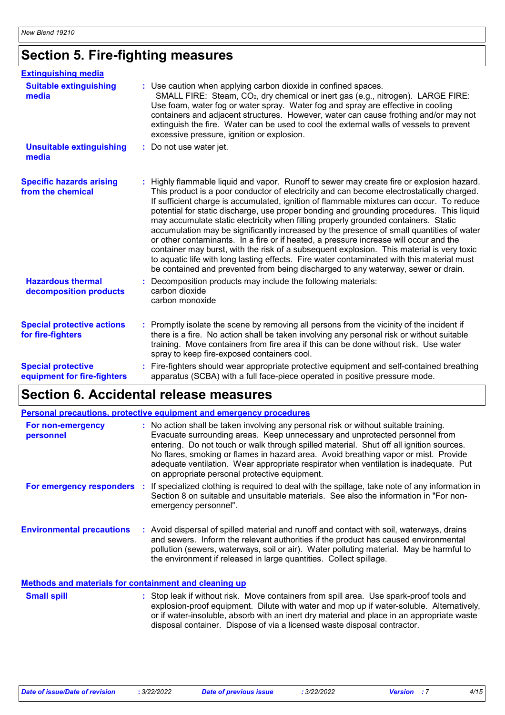## **Section 5. Fire-fighting measures**

| <b>Extinguishing media</b>                               |                                                                                                                                                                                                                                                                                                                                                                                                                                                                                                                                                                                                                                                                                                                                                                                                                                                                                                                                          |
|----------------------------------------------------------|------------------------------------------------------------------------------------------------------------------------------------------------------------------------------------------------------------------------------------------------------------------------------------------------------------------------------------------------------------------------------------------------------------------------------------------------------------------------------------------------------------------------------------------------------------------------------------------------------------------------------------------------------------------------------------------------------------------------------------------------------------------------------------------------------------------------------------------------------------------------------------------------------------------------------------------|
| <b>Suitable extinguishing</b><br>media                   | : Use caution when applying carbon dioxide in confined spaces.<br>SMALL FIRE: Steam, CO <sub>2</sub> , dry chemical or inert gas (e.g., nitrogen). LARGE FIRE:<br>Use foam, water fog or water spray. Water fog and spray are effective in cooling<br>containers and adjacent structures. However, water can cause frothing and/or may not<br>extinguish the fire. Water can be used to cool the external walls of vessels to prevent<br>excessive pressure, ignition or explosion.                                                                                                                                                                                                                                                                                                                                                                                                                                                      |
| <b>Unsuitable extinguishing</b><br>media                 | : Do not use water jet.                                                                                                                                                                                                                                                                                                                                                                                                                                                                                                                                                                                                                                                                                                                                                                                                                                                                                                                  |
| <b>Specific hazards arising</b><br>from the chemical     | Highly flammable liquid and vapor. Runoff to sewer may create fire or explosion hazard.<br>This product is a poor conductor of electricity and can become electrostatically charged.<br>If sufficient charge is accumulated, ignition of flammable mixtures can occur. To reduce<br>potential for static discharge, use proper bonding and grounding procedures. This liquid<br>may accumulate static electricity when filling properly grounded containers. Static<br>accumulation may be significantly increased by the presence of small quantities of water<br>or other contaminants. In a fire or if heated, a pressure increase will occur and the<br>container may burst, with the risk of a subsequent explosion. This material is very toxic<br>to aquatic life with long lasting effects. Fire water contaminated with this material must<br>be contained and prevented from being discharged to any waterway, sewer or drain. |
| <b>Hazardous thermal</b><br>decomposition products       | Decomposition products may include the following materials:<br>carbon dioxide<br>carbon monoxide                                                                                                                                                                                                                                                                                                                                                                                                                                                                                                                                                                                                                                                                                                                                                                                                                                         |
| <b>Special protective actions</b><br>for fire-fighters   | : Promptly isolate the scene by removing all persons from the vicinity of the incident if<br>there is a fire. No action shall be taken involving any personal risk or without suitable<br>training. Move containers from fire area if this can be done without risk. Use water<br>spray to keep fire-exposed containers cool.                                                                                                                                                                                                                                                                                                                                                                                                                                                                                                                                                                                                            |
| <b>Special protective</b><br>equipment for fire-fighters | Fire-fighters should wear appropriate protective equipment and self-contained breathing<br>apparatus (SCBA) with a full face-piece operated in positive pressure mode.                                                                                                                                                                                                                                                                                                                                                                                                                                                                                                                                                                                                                                                                                                                                                                   |

## **Section 6. Accidental release measures**

| Personal precautions, protective equipment and emergency procedures |     |                                                                                                                                                                                                                                                                                                                                                                                                                                                                                                 |
|---------------------------------------------------------------------|-----|-------------------------------------------------------------------------------------------------------------------------------------------------------------------------------------------------------------------------------------------------------------------------------------------------------------------------------------------------------------------------------------------------------------------------------------------------------------------------------------------------|
| For non-emergency<br>personnel                                      |     | : No action shall be taken involving any personal risk or without suitable training.<br>Evacuate surrounding areas. Keep unnecessary and unprotected personnel from<br>entering. Do not touch or walk through spilled material. Shut off all ignition sources.<br>No flares, smoking or flames in hazard area. Avoid breathing vapor or mist. Provide<br>adequate ventilation. Wear appropriate respirator when ventilation is inadequate. Put<br>on appropriate personal protective equipment. |
| For emergency responders                                            | -11 | If specialized clothing is required to deal with the spillage, take note of any information in<br>Section 8 on suitable and unsuitable materials. See also the information in "For non-<br>emergency personnel".                                                                                                                                                                                                                                                                                |
| <b>Environmental precautions</b>                                    |     | : Avoid dispersal of spilled material and runoff and contact with soil, waterways, drains<br>and sewers. Inform the relevant authorities if the product has caused environmental<br>pollution (sewers, waterways, soil or air). Water polluting material. May be harmful to<br>the environment if released in large quantities. Collect spillage.                                                                                                                                               |
| <b>Methods and materials for containment and cleaning up</b>        |     |                                                                                                                                                                                                                                                                                                                                                                                                                                                                                                 |
| <b>Cmall enill</b>                                                  |     | • Stop look if without rick Move containers from spill area. Hee spark preaf tools and                                                                                                                                                                                                                                                                                                                                                                                                          |

Stop leak if without risk. Move containers from spill area. Use spark-proof tools and explosion-proof equipment. Dilute with water and mop up if water-soluble. Alternatively, or if water-insoluble, absorb with an inert dry material and place in an appropriate waste disposal container. Dispose of via a licensed waste disposal contractor. **Small spill :**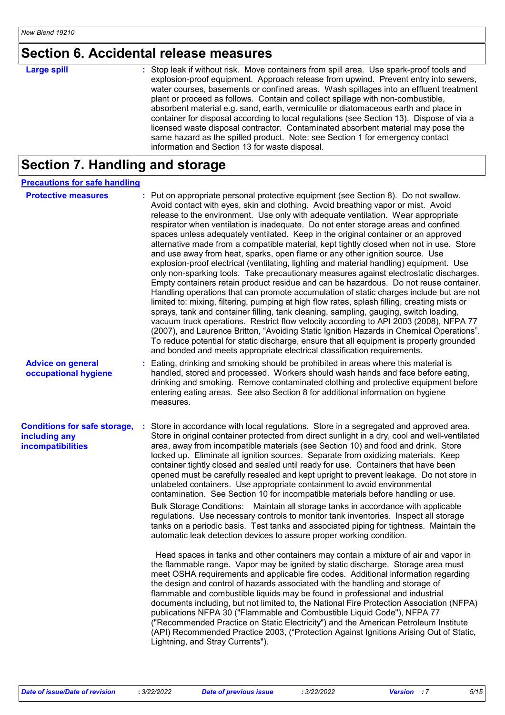## **Section 6. Accidental release measures**

| <b>Large spill</b> | : Stop leak if without risk. Move containers from spill area. Use spark-proof tools and<br>explosion-proof equipment. Approach release from upwind. Prevent entry into sewers,<br>water courses, basements or confined areas. Wash spillages into an effluent treatment<br>plant or proceed as follows. Contain and collect spillage with non-combustible,<br>absorbent material e.g. sand, earth, vermiculite or diatomaceous earth and place in<br>container for disposal according to local regulations (see Section 13). Dispose of via a |
|--------------------|-----------------------------------------------------------------------------------------------------------------------------------------------------------------------------------------------------------------------------------------------------------------------------------------------------------------------------------------------------------------------------------------------------------------------------------------------------------------------------------------------------------------------------------------------|
|                    | licensed waste disposal contractor. Contaminated absorbent material may pose the<br>same hazard as the spilled product. Note: see Section 1 for emergency contact<br>information and Section 13 for waste disposal.                                                                                                                                                                                                                                                                                                                           |

## **Section 7. Handling and storage**

| <b>Precautions for safe handling</b>                                      |    |                                                                                                                                                                                                                                                                                                                                                                                                                                                                                                                                                                                                                                                                                                                                                                                                                                                                                                                                                                                                                                                                                                                                                                                                                                                                                                                                                                                                                                                                                                                                                                                                                                                                                                                                                                                                                                                                                                 |
|---------------------------------------------------------------------------|----|-------------------------------------------------------------------------------------------------------------------------------------------------------------------------------------------------------------------------------------------------------------------------------------------------------------------------------------------------------------------------------------------------------------------------------------------------------------------------------------------------------------------------------------------------------------------------------------------------------------------------------------------------------------------------------------------------------------------------------------------------------------------------------------------------------------------------------------------------------------------------------------------------------------------------------------------------------------------------------------------------------------------------------------------------------------------------------------------------------------------------------------------------------------------------------------------------------------------------------------------------------------------------------------------------------------------------------------------------------------------------------------------------------------------------------------------------------------------------------------------------------------------------------------------------------------------------------------------------------------------------------------------------------------------------------------------------------------------------------------------------------------------------------------------------------------------------------------------------------------------------------------------------|
| <b>Protective measures</b>                                                |    | : Put on appropriate personal protective equipment (see Section 8). Do not swallow.<br>Avoid contact with eyes, skin and clothing. Avoid breathing vapor or mist. Avoid<br>release to the environment. Use only with adequate ventilation. Wear appropriate<br>respirator when ventilation is inadequate. Do not enter storage areas and confined<br>spaces unless adequately ventilated. Keep in the original container or an approved<br>alternative made from a compatible material, kept tightly closed when not in use. Store<br>and use away from heat, sparks, open flame or any other ignition source. Use<br>explosion-proof electrical (ventilating, lighting and material handling) equipment. Use<br>only non-sparking tools. Take precautionary measures against electrostatic discharges.<br>Empty containers retain product residue and can be hazardous. Do not reuse container.<br>Handling operations that can promote accumulation of static charges include but are not<br>limited to: mixing, filtering, pumping at high flow rates, splash filling, creating mists or<br>sprays, tank and container filling, tank cleaning, sampling, gauging, switch loading,<br>vacuum truck operations. Restrict flow velocity according to API 2003 (2008), NFPA 77<br>(2007), and Laurence Britton, "Avoiding Static Ignition Hazards in Chemical Operations".<br>To reduce potential for static discharge, ensure that all equipment is properly grounded<br>and bonded and meets appropriate electrical classification requirements.                                                                                                                                                                                                                                                                                                                                               |
| <b>Advice on general</b><br>occupational hygiene                          |    | Eating, drinking and smoking should be prohibited in areas where this material is<br>handled, stored and processed. Workers should wash hands and face before eating,<br>drinking and smoking. Remove contaminated clothing and protective equipment before<br>entering eating areas. See also Section 8 for additional information on hygiene<br>measures.                                                                                                                                                                                                                                                                                                                                                                                                                                                                                                                                                                                                                                                                                                                                                                                                                                                                                                                                                                                                                                                                                                                                                                                                                                                                                                                                                                                                                                                                                                                                     |
| <b>Conditions for safe storage,</b><br>including any<br>incompatibilities | ÷. | Store in accordance with local regulations. Store in a segregated and approved area.<br>Store in original container protected from direct sunlight in a dry, cool and well-ventilated<br>area, away from incompatible materials (see Section 10) and food and drink. Store<br>locked up. Eliminate all ignition sources. Separate from oxidizing materials. Keep<br>container tightly closed and sealed until ready for use. Containers that have been<br>opened must be carefully resealed and kept upright to prevent leakage. Do not store in<br>unlabeled containers. Use appropriate containment to avoid environmental<br>contamination. See Section 10 for incompatible materials before handling or use.<br>Bulk Storage Conditions: Maintain all storage tanks in accordance with applicable<br>regulations. Use necessary controls to monitor tank inventories. Inspect all storage<br>tanks on a periodic basis. Test tanks and associated piping for tightness. Maintain the<br>automatic leak detection devices to assure proper working condition.<br>Head spaces in tanks and other containers may contain a mixture of air and vapor in<br>the flammable range. Vapor may be ignited by static discharge. Storage area must<br>meet OSHA requirements and applicable fire codes. Additional information regarding<br>the design and control of hazards associated with the handling and storage of<br>flammable and combustible liquids may be found in professional and industrial<br>documents including, but not limited to, the National Fire Protection Association (NFPA)<br>publications NFPA 30 ("Flammable and Combustible Liquid Code"), NFPA 77<br>("Recommended Practice on Static Electricity") and the American Petroleum Institute<br>(API) Recommended Practice 2003, ("Protection Against Ignitions Arising Out of Static,<br>Lightning, and Stray Currents"). |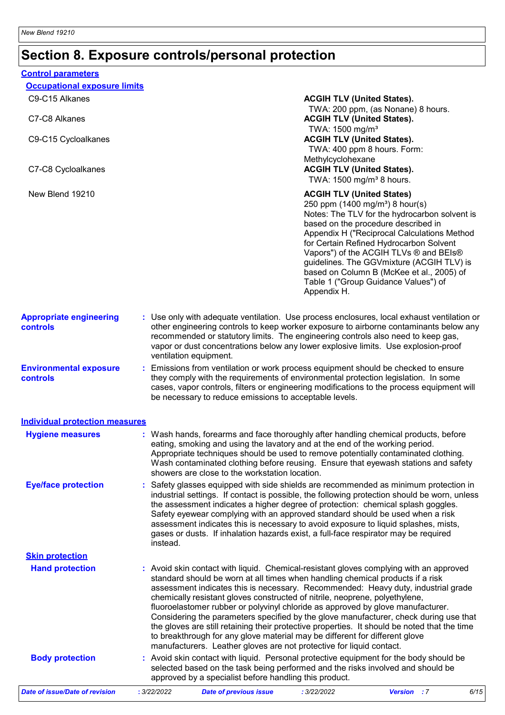## **Section 8. Exposure controls/personal protection**

| <b>Occupational exposure limits</b>               |          |                                                                                                                                                                                                                                                                                                                                                                                                                                                                                                                                                                                                                                                                                                                                                                                 |
|---------------------------------------------------|----------|---------------------------------------------------------------------------------------------------------------------------------------------------------------------------------------------------------------------------------------------------------------------------------------------------------------------------------------------------------------------------------------------------------------------------------------------------------------------------------------------------------------------------------------------------------------------------------------------------------------------------------------------------------------------------------------------------------------------------------------------------------------------------------|
| C9-C15 Alkanes                                    |          | <b>ACGIH TLV (United States).</b>                                                                                                                                                                                                                                                                                                                                                                                                                                                                                                                                                                                                                                                                                                                                               |
| C7-C8 Alkanes                                     |          | TWA: 200 ppm, (as Nonane) 8 hours.<br><b>ACGIH TLV (United States).</b><br>TWA: 1500 mg/m <sup>3</sup>                                                                                                                                                                                                                                                                                                                                                                                                                                                                                                                                                                                                                                                                          |
| C9-C15 Cycloalkanes<br>C7-C8 Cycloalkanes         |          | <b>ACGIH TLV (United States).</b><br>TWA: 400 ppm 8 hours. Form:<br>Methylcyclohexane<br><b>ACGIH TLV (United States).</b>                                                                                                                                                                                                                                                                                                                                                                                                                                                                                                                                                                                                                                                      |
|                                                   |          | TWA: 1500 mg/m <sup>3</sup> 8 hours.                                                                                                                                                                                                                                                                                                                                                                                                                                                                                                                                                                                                                                                                                                                                            |
| New Blend 19210                                   |          | <b>ACGIH TLV (United States)</b><br>250 ppm (1400 mg/m <sup>3</sup> ) 8 hour(s)<br>Notes: The TLV for the hydrocarbon solvent is<br>based on the procedure described in<br>Appendix H ("Reciprocal Calculations Method<br>for Certain Refined Hydrocarbon Solvent<br>Vapors") of the ACGIH TLVs ® and BEIs®<br>guidelines. The GGVmixture (ACGIH TLV) is<br>based on Column B (McKee et al., 2005) of<br>Table 1 ("Group Guidance Values") of<br>Appendix H.                                                                                                                                                                                                                                                                                                                    |
| <b>Appropriate engineering</b><br><b>controls</b> |          | : Use only with adequate ventilation. Use process enclosures, local exhaust ventilation or<br>other engineering controls to keep worker exposure to airborne contaminants below any<br>recommended or statutory limits. The engineering controls also need to keep gas,<br>vapor or dust concentrations below any lower explosive limits. Use explosion-proof<br>ventilation equipment.                                                                                                                                                                                                                                                                                                                                                                                         |
| <b>Environmental exposure</b><br>controls         |          | : Emissions from ventilation or work process equipment should be checked to ensure<br>they comply with the requirements of environmental protection legislation. In some<br>cases, vapor controls, filters or engineering modifications to the process equipment will<br>be necessary to reduce emissions to acceptable levels.                                                                                                                                                                                                                                                                                                                                                                                                                                                 |
| <b>Individual protection measures</b>             |          |                                                                                                                                                                                                                                                                                                                                                                                                                                                                                                                                                                                                                                                                                                                                                                                 |
| <b>Hygiene measures</b>                           |          | : Wash hands, forearms and face thoroughly after handling chemical products, before<br>eating, smoking and using the lavatory and at the end of the working period.<br>Appropriate techniques should be used to remove potentially contaminated clothing.<br>Wash contaminated clothing before reusing. Ensure that eyewash stations and safety<br>showers are close to the workstation location.                                                                                                                                                                                                                                                                                                                                                                               |
| <b>Eye/face protection</b>                        | instead. | : Safety glasses equipped with side shields are recommended as minimum protection in<br>industrial settings. If contact is possible, the following protection should be worn, unless<br>the assessment indicates a higher degree of protection: chemical splash goggles.<br>Safety eyewear complying with an approved standard should be used when a risk<br>assessment indicates this is necessary to avoid exposure to liquid splashes, mists,<br>gases or dusts. If inhalation hazards exist, a full-face respirator may be required                                                                                                                                                                                                                                         |
| <b>Skin protection</b>                            |          |                                                                                                                                                                                                                                                                                                                                                                                                                                                                                                                                                                                                                                                                                                                                                                                 |
| <b>Hand protection</b>                            |          | : Avoid skin contact with liquid. Chemical-resistant gloves complying with an approved<br>standard should be worn at all times when handling chemical products if a risk<br>assessment indicates this is necessary. Recommended: Heavy duty, industrial grade<br>chemically resistant gloves constructed of nitrile, neoprene, polyethylene,<br>fluoroelastomer rubber or polyvinyl chloride as approved by glove manufacturer.<br>Considering the parameters specified by the glove manufacturer, check during use that<br>the gloves are still retaining their protective properties. It should be noted that the time<br>to breakthrough for any glove material may be different for different glove<br>manufacturers. Leather gloves are not protective for liquid contact. |
| <b>Body protection</b>                            |          | : Avoid skin contact with liquid. Personal protective equipment for the body should be<br>selected based on the task being performed and the risks involved and should be<br>approved by a specialist before handling this product.                                                                                                                                                                                                                                                                                                                                                                                                                                                                                                                                             |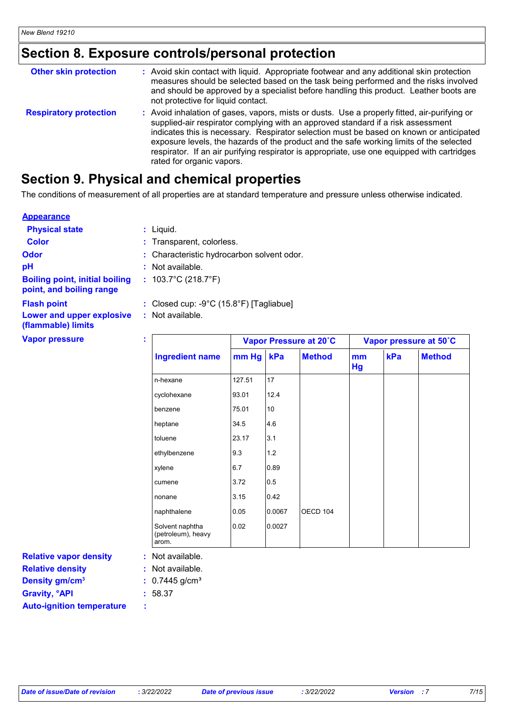## **Section 8. Exposure controls/personal protection**

| <b>Other skin protection</b>  | : Avoid skin contact with liquid. Appropriate footwear and any additional skin protection<br>measures should be selected based on the task being performed and the risks involved<br>and should be approved by a specialist before handling this product. Leather boots are<br>not protective for liquid contact.                                                                                                                                                                                  |
|-------------------------------|----------------------------------------------------------------------------------------------------------------------------------------------------------------------------------------------------------------------------------------------------------------------------------------------------------------------------------------------------------------------------------------------------------------------------------------------------------------------------------------------------|
| <b>Respiratory protection</b> | : Avoid inhalation of gases, vapors, mists or dusts. Use a properly fitted, air-purifying or<br>supplied-air respirator complying with an approved standard if a risk assessment<br>indicates this is necessary. Respirator selection must be based on known or anticipated<br>exposure levels, the hazards of the product and the safe working limits of the selected<br>respirator. If an air purifying respirator is appropriate, use one equipped with cartridges<br>rated for organic vapors. |

### **Section 9. Physical and chemical properties**

The conditions of measurement of all properties are at standard temperature and pressure unless otherwise indicated.

#### **Appearance**

| <b>Physical state</b>                                             | $:$ Liquid.                                                 |
|-------------------------------------------------------------------|-------------------------------------------------------------|
| <b>Color</b>                                                      | : Transparent, colorless.                                   |
| <b>Odor</b>                                                       | : Characteristic hydrocarbon solvent odor.                  |
| рH                                                                | $:$ Not available.                                          |
| <b>Boiling point, initial boiling</b><br>point, and boiling range | : $103.7^{\circ}$ C (218.7 $^{\circ}$ F)                    |
| <b>Flash point</b><br>Lower and upper explosive                   | : Closed cup: -9°C (15.8°F) [Tagliabue]<br>: Not available. |
| (flammable) limits                                                |                                                             |

**Vapor pressure :**

|                                                |        |        | Vapor Pressure at 20°C | Vapor pressure at 50°C |     |               |
|------------------------------------------------|--------|--------|------------------------|------------------------|-----|---------------|
| <b>Ingredient name</b>                         | mm Hg  | kPa    | <b>Method</b>          | mm<br>Hg               | kPa | <b>Method</b> |
| n-hexane                                       | 127.51 | 17     |                        |                        |     |               |
| cyclohexane                                    | 93.01  | 12.4   |                        |                        |     |               |
| benzene                                        | 75.01  | 10     |                        |                        |     |               |
| heptane                                        | 34.5   | 4.6    |                        |                        |     |               |
| toluene                                        | 23.17  | 3.1    |                        |                        |     |               |
| ethylbenzene                                   | 9.3    | 1.2    |                        |                        |     |               |
| xylene                                         | 6.7    | 0.89   |                        |                        |     |               |
| cumene                                         | 3.72   | 0.5    |                        |                        |     |               |
| nonane                                         | 3.15   | 0.42   |                        |                        |     |               |
| naphthalene                                    | 0.05   | 0.0067 | OECD 104               |                        |     |               |
| Solvent naphtha<br>(petroleum), heavy<br>arom. | 0.02   | 0.0027 |                        |                        |     |               |

**Relative density Gravity, °API :** 58.37 **Density gm/cm<sup>3</sup> :** 0.7445 g/cm<sup>3</sup> **Relative vapor density Auto-ignition temperature :**

Not available. **:**

Not available. **:**

- 
-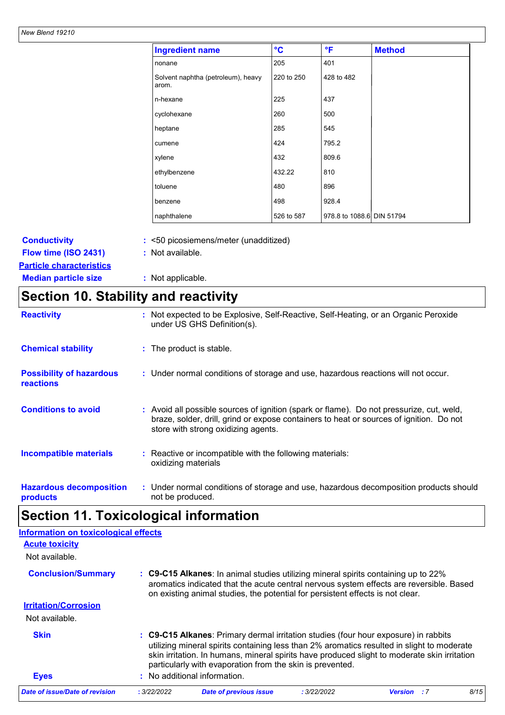| <b>Ingredient name</b>                      | $\rm ^{\circ}C$ | °F                        | <b>Method</b> |  |
|---------------------------------------------|-----------------|---------------------------|---------------|--|
| nonane                                      | 205             | 401                       |               |  |
| Solvent naphtha (petroleum), heavy<br>arom. | 220 to 250      | 428 to 482                |               |  |
| n-hexane                                    | 225             | 437                       |               |  |
| cyclohexane                                 | 260             | 500                       |               |  |
| heptane                                     | 285             | 545                       |               |  |
| cumene                                      | 424             | 795.2                     |               |  |
| xylene                                      | 432             | 809.6                     |               |  |
| ethylbenzene                                | 432.22          | 810                       |               |  |
| toluene                                     | 480             | 896                       |               |  |
| benzene                                     | 498             | 928.4                     |               |  |
| naphthalene                                 | 526 to 587      | 978.8 to 1088.6 DIN 51794 |               |  |

| <b>Conductivity</b>             | : <50 picosiemens/meter (unadditized) |
|---------------------------------|---------------------------------------|
| Flow time (ISO 2431)            | : Not available.                      |
| <b>Particle characteristics</b> |                                       |
| <b>Median particle size</b>     | : Not applicable.                     |

## **Section 10. Stability and reactivity**

| <b>Reactivity</b>                                   | : Not expected to be Explosive, Self-Reactive, Self-Heating, or an Organic Peroxide<br>under US GHS Definition(s).                                                                                                         |
|-----------------------------------------------------|----------------------------------------------------------------------------------------------------------------------------------------------------------------------------------------------------------------------------|
| <b>Chemical stability</b>                           | : The product is stable.                                                                                                                                                                                                   |
| <b>Possibility of hazardous</b><br><b>reactions</b> | : Under normal conditions of storage and use, hazardous reactions will not occur.                                                                                                                                          |
| <b>Conditions to avoid</b>                          | : Avoid all possible sources of ignition (spark or flame). Do not pressurize, cut, weld,<br>braze, solder, drill, grind or expose containers to heat or sources of ignition. Do not<br>store with strong oxidizing agents. |
| <b>Incompatible materials</b>                       | Reactive or incompatible with the following materials:<br>oxidizing materials                                                                                                                                              |
| <b>Hazardous decomposition</b><br>products          | : Under normal conditions of storage and use, hazardous decomposition products should<br>not be produced.                                                                                                                  |

## **Section 11. Toxicological information**

| <b>Information on toxicological effects</b> |             |                                                                                                                                                                                                                                                                                                                                                |             |                    |      |
|---------------------------------------------|-------------|------------------------------------------------------------------------------------------------------------------------------------------------------------------------------------------------------------------------------------------------------------------------------------------------------------------------------------------------|-------------|--------------------|------|
| <b>Acute toxicity</b>                       |             |                                                                                                                                                                                                                                                                                                                                                |             |                    |      |
| Not available.                              |             |                                                                                                                                                                                                                                                                                                                                                |             |                    |      |
| <b>Conclusion/Summary</b>                   |             | : C9-C15 Alkanes: In animal studies utilizing mineral spirits containing up to 22%<br>aromatics indicated that the acute central nervous system effects are reversible. Based<br>on existing animal studies, the potential for persistent effects is not clear.                                                                                |             |                    |      |
| <b>Irritation/Corrosion</b>                 |             |                                                                                                                                                                                                                                                                                                                                                |             |                    |      |
| Not available.                              |             |                                                                                                                                                                                                                                                                                                                                                |             |                    |      |
| <b>Skin</b>                                 |             | : C9-C15 Alkanes: Primary dermal irritation studies (four hour exposure) in rabbits<br>utilizing mineral spirits containing less than 2% aromatics resulted in slight to moderate<br>skin irritation. In humans, mineral spirits have produced slight to moderate skin irritation<br>particularly with evaporation from the skin is prevented. |             |                    |      |
| <b>Eyes</b>                                 |             | : No additional information.                                                                                                                                                                                                                                                                                                                   |             |                    |      |
| Date of issue/Date of revision              | : 3/22/2022 | <b>Date of previous issue</b>                                                                                                                                                                                                                                                                                                                  | : 3/22/2022 | <b>Version</b> : 7 | 8/15 |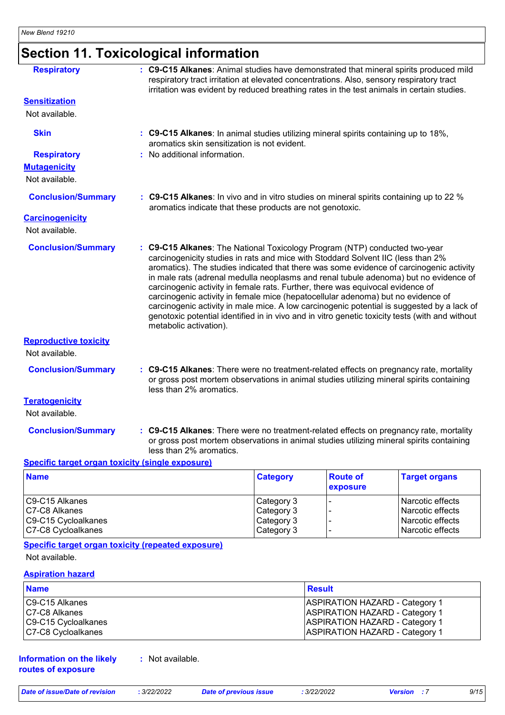## **Section 11. Toxicological information**

| <b>Respiratory</b>                      | : C9-C15 Alkanes: Animal studies have demonstrated that mineral spirits produced mild<br>respiratory tract irritation at elevated concentrations. Also, sensory respiratory tract<br>irritation was evident by reduced breathing rates in the test animals in certain studies.                                                                                                                                                                                                                                                                                                                                                                                                                                                                     |
|-----------------------------------------|----------------------------------------------------------------------------------------------------------------------------------------------------------------------------------------------------------------------------------------------------------------------------------------------------------------------------------------------------------------------------------------------------------------------------------------------------------------------------------------------------------------------------------------------------------------------------------------------------------------------------------------------------------------------------------------------------------------------------------------------------|
| <b>Sensitization</b>                    |                                                                                                                                                                                                                                                                                                                                                                                                                                                                                                                                                                                                                                                                                                                                                    |
| Not available.                          |                                                                                                                                                                                                                                                                                                                                                                                                                                                                                                                                                                                                                                                                                                                                                    |
| <b>Skin</b>                             | : C9-C15 Alkanes: In animal studies utilizing mineral spirits containing up to 18%,<br>aromatics skin sensitization is not evident.                                                                                                                                                                                                                                                                                                                                                                                                                                                                                                                                                                                                                |
| <b>Respiratory</b>                      | : No additional information.                                                                                                                                                                                                                                                                                                                                                                                                                                                                                                                                                                                                                                                                                                                       |
| <b>Mutagenicity</b>                     |                                                                                                                                                                                                                                                                                                                                                                                                                                                                                                                                                                                                                                                                                                                                                    |
| Not available.                          |                                                                                                                                                                                                                                                                                                                                                                                                                                                                                                                                                                                                                                                                                                                                                    |
| <b>Conclusion/Summary</b>               | : C9-C15 Alkanes: In vivo and in vitro studies on mineral spirits containing up to 22 %<br>aromatics indicate that these products are not genotoxic.                                                                                                                                                                                                                                                                                                                                                                                                                                                                                                                                                                                               |
| <b>Carcinogenicity</b>                  |                                                                                                                                                                                                                                                                                                                                                                                                                                                                                                                                                                                                                                                                                                                                                    |
| Not available.                          |                                                                                                                                                                                                                                                                                                                                                                                                                                                                                                                                                                                                                                                                                                                                                    |
| <b>Conclusion/Summary</b>               | : C9-C15 Alkanes: The National Toxicology Program (NTP) conducted two-year<br>carcinogenicity studies in rats and mice with Stoddard Solvent IIC (less than 2%<br>aromatics). The studies indicated that there was some evidence of carcinogenic activity<br>in male rats (adrenal medulla neoplasms and renal tubule adenoma) but no evidence of<br>carcinogenic activity in female rats. Further, there was equivocal evidence of<br>carcinogenic activity in female mice (hepatocellular adenoma) but no evidence of<br>carcinogenic activity in male mice. A low carcinogenic potential is suggested by a lack of<br>genotoxic potential identified in in vivo and in vitro genetic toxicity tests (with and without<br>metabolic activation). |
| <b>Reproductive toxicity</b>            |                                                                                                                                                                                                                                                                                                                                                                                                                                                                                                                                                                                                                                                                                                                                                    |
| Not available.                          |                                                                                                                                                                                                                                                                                                                                                                                                                                                                                                                                                                                                                                                                                                                                                    |
| <b>Conclusion/Summary</b>               | : C9-C15 Alkanes: There were no treatment-related effects on pregnancy rate, mortality<br>or gross post mortem observations in animal studies utilizing mineral spirits containing<br>less than 2% aromatics.                                                                                                                                                                                                                                                                                                                                                                                                                                                                                                                                      |
| <b>Teratogenicity</b><br>Not available. |                                                                                                                                                                                                                                                                                                                                                                                                                                                                                                                                                                                                                                                                                                                                                    |
| <b>Conclusion/Summary</b>               | : C9-C15 Alkanes: There were no treatment-related effects on pregnancy rate, mortality<br>or gross post mortem observations in animal studies utilizing mineral spirits containing<br>less than 2% aromatics.                                                                                                                                                                                                                                                                                                                                                                                                                                                                                                                                      |

#### **Specific target organ toxicity (single exposure)**

| <b>Name</b>         | <b>Category</b> | <b>Route of</b><br><b>exposure</b> | <b>Target organs</b> |
|---------------------|-----------------|------------------------------------|----------------------|
| C9-C15 Alkanes      | Category 3      |                                    | l Narcotic effects   |
| C7-C8 Alkanes       | Category 3      |                                    | l Narcotic effects   |
| C9-C15 Cycloalkanes | Category 3      |                                    | Narcotic effects     |
| C7-C8 Cycloalkanes  | Category 3      |                                    | Narcotic effects     |

### **Specific target organ toxicity (repeated exposure)**

Not available.

#### **Aspiration hazard**

| <b>Name</b>         | <b>Result</b>                         |
|---------------------|---------------------------------------|
| C9-C15 Alkanes      | <b>ASPIRATION HAZARD - Category 1</b> |
| C7-C8 Alkanes       | <b>ASPIRATION HAZARD - Category 1</b> |
| C9-C15 Cycloalkanes | <b>ASPIRATION HAZARD - Category 1</b> |
| C7-C8 Cycloalkanes  | <b>ASPIRATION HAZARD - Category 1</b> |

#### **Information on the likely routes of exposure**

**:** Not available.

*Date of issue/Date of revision* **:** *3/22/2022 Date of previous issue : 3/22/2022 Version : 7 9/15*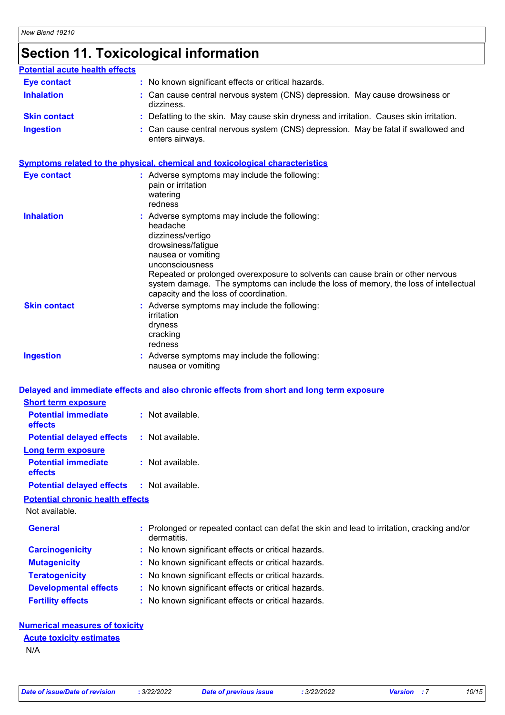## **Section 11. Toxicological information**

#### **Inhalation :** Can cause central nervous system (CNS) depression. May cause drowsiness or dizziness. Can cause central nervous system (CNS) depression. May be fatal if swallowed and enters airways. **Ingestion : Skin contact** : Defatting to the skin. May cause skin dryness and irritation. Causes skin irritation. **Eye contact :** No known significant effects or critical hazards. **Potential acute health effects**

#### **Symptoms related to the physical, chemical and toxicological characteristics**

| <b>Eye contact</b>                      | : Adverse symptoms may include the following:<br>pain or irritation<br>watering<br>redness                                                                                                                                                                                                                                                                         |
|-----------------------------------------|--------------------------------------------------------------------------------------------------------------------------------------------------------------------------------------------------------------------------------------------------------------------------------------------------------------------------------------------------------------------|
| <b>Inhalation</b>                       | : Adverse symptoms may include the following:<br>headache<br>dizziness/vertigo<br>drowsiness/fatigue<br>nausea or vomiting<br>unconsciousness<br>Repeated or prolonged overexposure to solvents can cause brain or other nervous<br>system damage. The symptoms can include the loss of memory, the loss of intellectual<br>capacity and the loss of coordination. |
| <b>Skin contact</b>                     | : Adverse symptoms may include the following:<br>irritation<br>dryness<br>cracking<br>redness                                                                                                                                                                                                                                                                      |
| <b>Ingestion</b>                        | : Adverse symptoms may include the following:<br>nausea or vomiting                                                                                                                                                                                                                                                                                                |
|                                         | Delayed and immediate effects and also chronic effects from short and long term exposure                                                                                                                                                                                                                                                                           |
| <b>Short term exposure</b>              |                                                                                                                                                                                                                                                                                                                                                                    |
| <b>Potential immediate</b><br>effects   | : Not available.                                                                                                                                                                                                                                                                                                                                                   |
| <b>Potential delayed effects</b>        | : Not available.                                                                                                                                                                                                                                                                                                                                                   |
| <b>Long term exposure</b>               |                                                                                                                                                                                                                                                                                                                                                                    |
| <b>Potential immediate</b><br>effects   | : Not available.                                                                                                                                                                                                                                                                                                                                                   |
| <b>Potential delayed effects</b>        | : Not available.                                                                                                                                                                                                                                                                                                                                                   |
| <b>Potential chronic health effects</b> |                                                                                                                                                                                                                                                                                                                                                                    |
| Not available.                          |                                                                                                                                                                                                                                                                                                                                                                    |
| <b>General</b>                          | : Prolonged or repeated contact can defat the skin and lead to irritation, cracking and/or<br>dermatitis.                                                                                                                                                                                                                                                          |
| <b>Carcinogenicity</b>                  | No known significant effects or critical hazards.                                                                                                                                                                                                                                                                                                                  |
| <b>Mutagenicity</b>                     | No known significant effects or critical hazards.                                                                                                                                                                                                                                                                                                                  |
| <b>Teratogenicity</b>                   | No known significant effects or critical hazards.                                                                                                                                                                                                                                                                                                                  |
| <b>Developmental effects</b>            | No known significant effects or critical hazards.                                                                                                                                                                                                                                                                                                                  |
| <b>Fertility effects</b>                | No known significant effects or critical hazards.                                                                                                                                                                                                                                                                                                                  |
|                                         |                                                                                                                                                                                                                                                                                                                                                                    |

#### **Numerical measures of toxicity**

## **Acute toxicity estimates**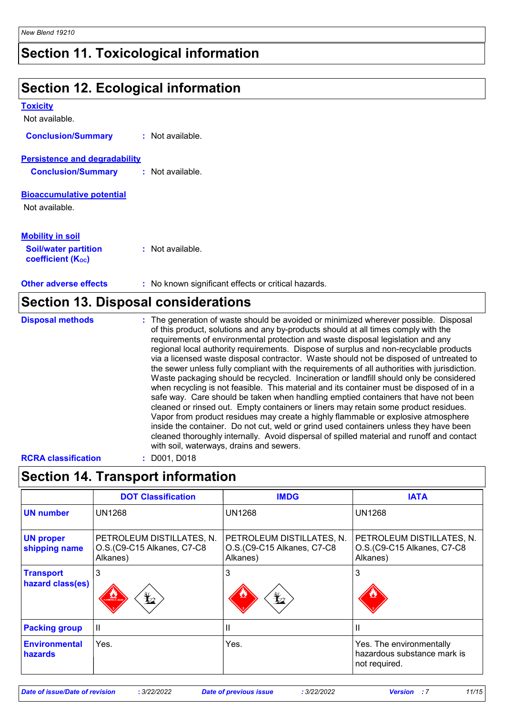### **Section 11. Toxicological information**

### **Section 12. Ecological information**

| <b>Toxicity</b>                                         |                                                                                      |
|---------------------------------------------------------|--------------------------------------------------------------------------------------|
| Not available.                                          |                                                                                      |
| <b>Conclusion/Summary</b>                               | : Not available.                                                                     |
| <b>Persistence and degradability</b>                    |                                                                                      |
| <b>Conclusion/Summary</b>                               | : Not available.                                                                     |
| <b>Bioaccumulative potential</b>                        |                                                                                      |
| Not available.                                          |                                                                                      |
| <b>Mobility in soil</b>                                 |                                                                                      |
| <b>Soil/water partition</b><br><b>coefficient (Koc)</b> | : Not available.                                                                     |
| <b>Other adverse effects</b>                            | : No known significant effects or critical hazards.                                  |
| <b>Section 13. Disposal considerations</b>              |                                                                                      |
| <b>Disposal methods</b>                                 | : The generation of waste should be avoided or minimized wherever possible. Disposal |

of this product, solutions and any by-products should at all times comply with the requirements of environmental protection and waste disposal legislation and any regional local authority requirements. Dispose of surplus and non-recyclable products via a licensed waste disposal contractor. Waste should not be disposed of untreated to the sewer unless fully compliant with the requirements of all authorities with jurisdiction. Waste packaging should be recycled. Incineration or landfill should only be considered when recycling is not feasible. This material and its container must be disposed of in a safe way. Care should be taken when handling emptied containers that have not been cleaned or rinsed out. Empty containers or liners may retain some product residues. Vapor from product residues may create a highly flammable or explosive atmosphere inside the container. Do not cut, weld or grind used containers unless they have been cleaned thoroughly internally. Avoid dispersal of spilled material and runoff and contact with soil, waterways, drains and sewers.

**RCRA classification :** D001, D018

### **Section 14. Transport information**

|                                      | <b>DOT Classification</b>                                           | <b>IMDG</b>                                                         | <b>IATA</b>                                                              |
|--------------------------------------|---------------------------------------------------------------------|---------------------------------------------------------------------|--------------------------------------------------------------------------|
| <b>UN number</b>                     | <b>UN1268</b>                                                       | <b>UN1268</b>                                                       | <b>UN1268</b>                                                            |
| <b>UN proper</b><br>shipping name    | PETROLEUM DISTILLATES, N.<br>O.S.(C9-C15 Alkanes, C7-C8<br>Alkanes) | PETROLEUM DISTILLATES, N.<br>O.S.(C9-C15 Alkanes, C7-C8<br>Alkanes) | PETROLEUM DISTILLATES, N.<br>O.S.(C9-C15 Alkanes, C7-C8<br>Alkanes)      |
| <b>Transport</b><br>hazard class(es) | 3<br>$\bigstar$<br><b>HIABLE LIGH</b>                               | 3<br>$\mathbf{\mathbf{\Psi}}$                                       | 3                                                                        |
| <b>Packing group</b>                 | Ш                                                                   | ш                                                                   |                                                                          |
| <b>Environmental</b><br>hazards      | Yes.                                                                | Yes.                                                                | Yes. The environmentally<br>hazardous substance mark is<br>not required. |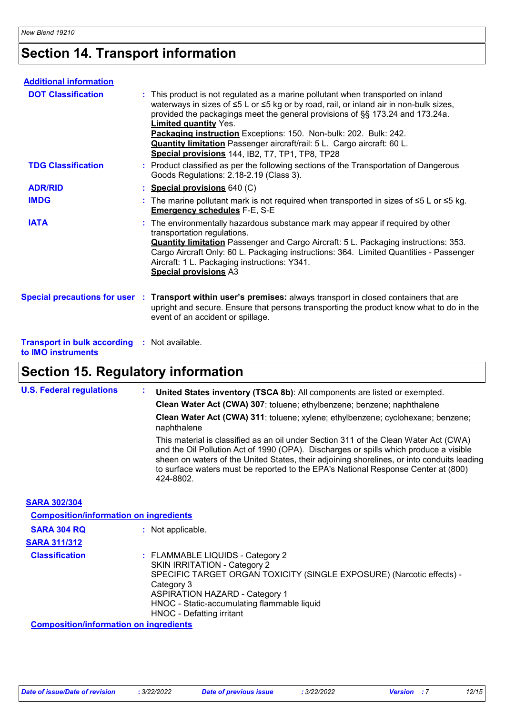## **Section 14. Transport information**

| <b>Additional information</b>                            |                                                                                                                                                                                                                                                                                                                                                                                                                                                                                                                  |
|----------------------------------------------------------|------------------------------------------------------------------------------------------------------------------------------------------------------------------------------------------------------------------------------------------------------------------------------------------------------------------------------------------------------------------------------------------------------------------------------------------------------------------------------------------------------------------|
| <b>DOT Classification</b>                                | : This product is not regulated as a marine pollutant when transported on inland<br>waterways in sizes of $\leq 5$ L or $\leq 5$ kg or by road, rail, or inland air in non-bulk sizes,<br>provided the packagings meet the general provisions of §§ 173.24 and 173.24a.<br><b>Limited quantity Yes.</b><br>Packaging instruction Exceptions: 150. Non-bulk: 202. Bulk: 242.<br><b>Quantity limitation</b> Passenger aircraft/rail: 5 L. Cargo aircraft: 60 L.<br>Special provisions 144, IB2, T7, TP1, TP8, TP28 |
| <b>TDG Classification</b>                                | : Product classified as per the following sections of the Transportation of Dangerous<br>Goods Regulations: 2.18-2.19 (Class 3).                                                                                                                                                                                                                                                                                                                                                                                 |
| <b>ADR/RID</b>                                           | : Special provisions 640 (C)                                                                                                                                                                                                                                                                                                                                                                                                                                                                                     |
| <b>IMDG</b>                                              | : The marine pollutant mark is not required when transported in sizes of $\leq 5$ L or $\leq 5$ kg.<br><b>Emergency schedules F-E, S-E</b>                                                                                                                                                                                                                                                                                                                                                                       |
| <b>IATA</b>                                              | : The environmentally hazardous substance mark may appear if required by other<br>transportation regulations.<br><b>Quantity limitation</b> Passenger and Cargo Aircraft: 5 L. Packaging instructions: 353.<br>Cargo Aircraft Only: 60 L. Packaging instructions: 364. Limited Quantities - Passenger<br>Aircraft: 1 L. Packaging instructions: Y341.<br><b>Special provisions A3</b>                                                                                                                            |
|                                                          | Special precautions for user : Transport within user's premises: always transport in closed containers that are<br>upright and secure. Ensure that persons transporting the product know what to do in the<br>event of an accident or spillage.                                                                                                                                                                                                                                                                  |
| <b>Transport in bulk according</b><br>to IMO instruments | : Not available.                                                                                                                                                                                                                                                                                                                                                                                                                                                                                                 |

## **Section 15. Regulatory information**

| <b>U.S. Federal regulations</b>               | ÷.<br>United States inventory (TSCA 8b): All components are listed or exempted.                                                                                                                                                                                                                                                                                               |
|-----------------------------------------------|-------------------------------------------------------------------------------------------------------------------------------------------------------------------------------------------------------------------------------------------------------------------------------------------------------------------------------------------------------------------------------|
|                                               | Clean Water Act (CWA) 307: toluene; ethylbenzene; benzene; naphthalene                                                                                                                                                                                                                                                                                                        |
|                                               | Clean Water Act (CWA) 311: toluene; xylene; ethylbenzene; cyclohexane; benzene;<br>naphthalene                                                                                                                                                                                                                                                                                |
|                                               | This material is classified as an oil under Section 311 of the Clean Water Act (CWA)<br>and the Oil Pollution Act of 1990 (OPA). Discharges or spills which produce a visible<br>sheen on waters of the United States, their adjoining shorelines, or into conduits leading<br>to surface waters must be reported to the EPA's National Response Center at (800)<br>424-8802. |
| <b>SARA 302/304</b>                           |                                                                                                                                                                                                                                                                                                                                                                               |
| <b>Composition/information on ingredients</b> |                                                                                                                                                                                                                                                                                                                                                                               |
| <b>SARA 304 RQ</b>                            | : Not applicable.                                                                                                                                                                                                                                                                                                                                                             |
| <b>SARA 311/312</b>                           |                                                                                                                                                                                                                                                                                                                                                                               |
| <b>Classification</b>                         | : FLAMMABLE LIQUIDS - Category 2<br><b>SKIN IRRITATION - Category 2</b><br>SPECIFIC TARGET ORGAN TOXICITY (SINGLE EXPOSURE) (Narcotic effects) -<br>Category 3<br><b>ASPIRATION HAZARD - Category 1</b><br>HNOC - Static-accumulating flammable liquid<br>HNOC - Defatting irritant                                                                                           |
| <b>Composition/information on ingredients</b> |                                                                                                                                                                                                                                                                                                                                                                               |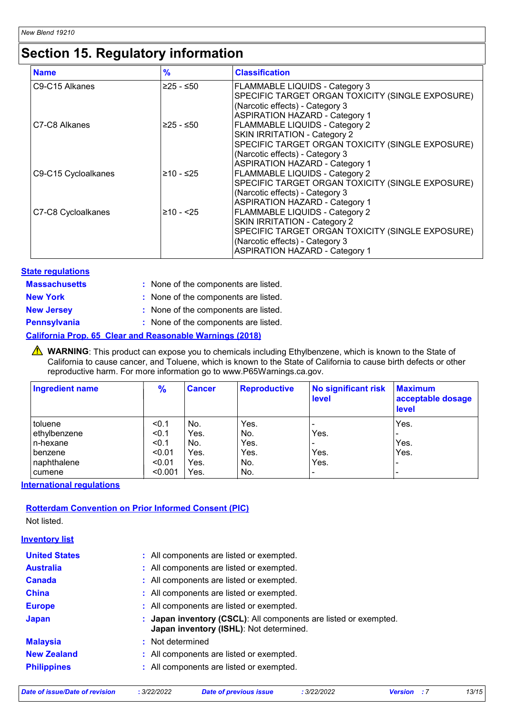## **Section 15. Regulatory information**

| <b>Name</b>         | $\frac{9}{6}$ | <b>Classification</b>                                                                                                                                                                                        |
|---------------------|---------------|--------------------------------------------------------------------------------------------------------------------------------------------------------------------------------------------------------------|
| C9-C15 Alkanes      | ≥25 - ≤50     | <b>FLAMMABLE LIQUIDS - Category 3</b><br>SPECIFIC TARGET ORGAN TOXICITY (SINGLE EXPOSURE)<br>(Narcotic effects) - Category 3<br><b>ASPIRATION HAZARD - Category 1</b>                                        |
| C7-C8 Alkanes       | $≥25 - ≤50$   | <b>FLAMMABLE LIQUIDS - Category 2</b><br><b>SKIN IRRITATION - Category 2</b><br>SPECIFIC TARGET ORGAN TOXICITY (SINGLE EXPOSURE)<br>(Narcotic effects) - Category 3<br><b>ASPIRATION HAZARD - Category 1</b> |
| C9-C15 Cycloalkanes | $≥10 - ≤25$   | <b>FLAMMABLE LIQUIDS - Category 2</b><br>SPECIFIC TARGET ORGAN TOXICITY (SINGLE EXPOSURE)<br>(Narcotic effects) - Category 3<br><b>ASPIRATION HAZARD - Category 1</b>                                        |
| C7-C8 Cycloalkanes  | $≥10 - 25$    | <b>FLAMMABLE LIQUIDS - Category 2</b><br>SKIN IRRITATION - Category 2<br>SPECIFIC TARGET ORGAN TOXICITY (SINGLE EXPOSURE)<br>(Narcotic effects) - Category 3<br><b>ASPIRATION HAZARD - Category 1</b>        |

#### **State regulations**

| <b>Massachusetts</b> | : None of the components are listed. |
|----------------------|--------------------------------------|
| <b>New York</b>      | : None of the components are listed. |
| <b>New Jersey</b>    | : None of the components are listed. |

| <b>Pennsylvania</b> | : None of the components are listed. |  |
|---------------------|--------------------------------------|--|

#### **California Prop. 65 Clear and Reasonable Warnings (2018)**

WARNING: This product can expose you to chemicals including Ethylbenzene, which is known to the State of California to cause cancer, and Toluene, which is known to the State of California to cause birth defects or other reproductive harm. For more information go to www.P65Warnings.ca.gov.

| <b>Ingredient name</b> | $\frac{9}{6}$ | <b>Cancer</b> | <b>Reproductive</b> | <b>No significant risk</b><br><b>level</b> | <b>Maximum</b><br>acceptable dosage<br>level |
|------------------------|---------------|---------------|---------------------|--------------------------------------------|----------------------------------------------|
| l toluene              | < 0.1         | No.           | Yes.                | $\blacksquare$                             | Yes.                                         |
| ethylbenzene           | < 0.1         | Yes.          | No.                 | Yes.                                       |                                              |
| l n-hexane             | < 0.1         | No.           | Yes.                | $\overline{\phantom{0}}$                   | Yes.                                         |
| l benzene              | < 0.01        | Yes.          | Yes.                | Yes.                                       | Yes.                                         |
| naphthalene            | < 0.01        | Yes.          | No.                 | Yes.                                       |                                              |
| cumene                 | < 0.001       | Yes.          | No.                 | $\overline{\phantom{0}}$                   | -                                            |

**International regulations**

#### **Rotterdam Convention on Prior Informed Consent (PIC)**

Not listed.

#### **Inventory list**

| <b>United States</b> | : All components are listed or exempted.                                                                    |
|----------------------|-------------------------------------------------------------------------------------------------------------|
| <b>Australia</b>     | : All components are listed or exempted.                                                                    |
| <b>Canada</b>        | : All components are listed or exempted.                                                                    |
| <b>China</b>         | : All components are listed or exempted.                                                                    |
| <b>Europe</b>        | : All components are listed or exempted.                                                                    |
| <b>Japan</b>         | : Japan inventory (CSCL): All components are listed or exempted.<br>Japan inventory (ISHL): Not determined. |
| <b>Malaysia</b>      | : Not determined                                                                                            |
| <b>New Zealand</b>   | : All components are listed or exempted.                                                                    |
| <b>Philippines</b>   | : All components are listed or exempted.                                                                    |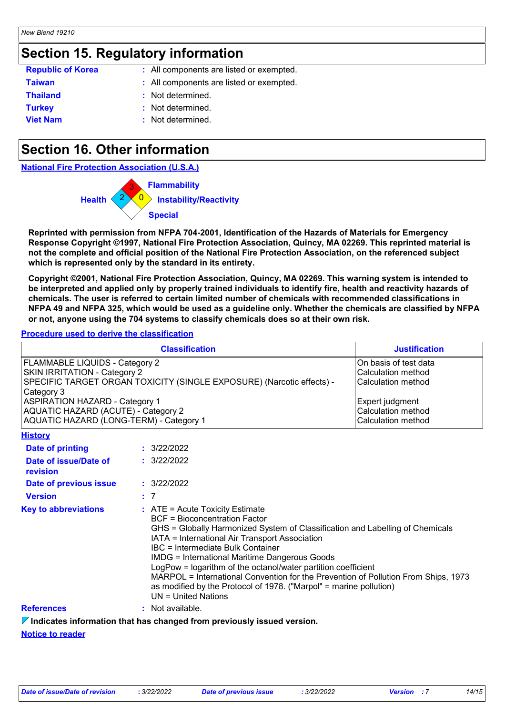### **Section 15. Regulatory information**

| : All components are listed or exempted. |
|------------------------------------------|
| : All components are listed or exempted. |
| : Not determined.                        |
| : Not determined.                        |
| : Not determined.                        |
|                                          |

## **Section 16. Other information**

**National Fire Protection Association (U.S.A.)**



**Reprinted with permission from NFPA 704-2001, Identification of the Hazards of Materials for Emergency Response Copyright ©1997, National Fire Protection Association, Quincy, MA 02269. This reprinted material is not the complete and official position of the National Fire Protection Association, on the referenced subject which is represented only by the standard in its entirety.**

**Copyright ©2001, National Fire Protection Association, Quincy, MA 02269. This warning system is intended to be interpreted and applied only by properly trained individuals to identify fire, health and reactivity hazards of chemicals. The user is referred to certain limited number of chemicals with recommended classifications in NFPA 49 and NFPA 325, which would be used as a guideline only. Whether the chemicals are classified by NFPA or not, anyone using the 704 systems to classify chemicals does so at their own risk.**

#### **Procedure used to derive the classification**

| <b>Classification</b>                                                                                                                                                                                                                                                                   |  |                                                                                                                                                                                                                                                                                                                                                                                                                                                                                                                                                                 | <b>Justification</b>                                                                                                             |  |
|-----------------------------------------------------------------------------------------------------------------------------------------------------------------------------------------------------------------------------------------------------------------------------------------|--|-----------------------------------------------------------------------------------------------------------------------------------------------------------------------------------------------------------------------------------------------------------------------------------------------------------------------------------------------------------------------------------------------------------------------------------------------------------------------------------------------------------------------------------------------------------------|----------------------------------------------------------------------------------------------------------------------------------|--|
| FLAMMABLE LIQUIDS - Category 2<br><b>SKIN IRRITATION - Category 2</b><br>SPECIFIC TARGET ORGAN TOXICITY (SINGLE EXPOSURE) (Narcotic effects) -<br>Category 3<br><b>ASPIRATION HAZARD - Category 1</b><br>AQUATIC HAZARD (ACUTE) - Category 2<br>AQUATIC HAZARD (LONG-TERM) - Category 1 |  |                                                                                                                                                                                                                                                                                                                                                                                                                                                                                                                                                                 | On basis of test data<br>Calculation method<br>Calculation method<br>Expert judgment<br>Calculation method<br>Calculation method |  |
| <b>History</b>                                                                                                                                                                                                                                                                          |  |                                                                                                                                                                                                                                                                                                                                                                                                                                                                                                                                                                 |                                                                                                                                  |  |
| <b>Date of printing</b>                                                                                                                                                                                                                                                                 |  | : 3/22/2022                                                                                                                                                                                                                                                                                                                                                                                                                                                                                                                                                     |                                                                                                                                  |  |
| Date of issue/Date of<br>revision                                                                                                                                                                                                                                                       |  | : 3/22/2022                                                                                                                                                                                                                                                                                                                                                                                                                                                                                                                                                     |                                                                                                                                  |  |
| Date of previous issue                                                                                                                                                                                                                                                                  |  | : 3/22/2022                                                                                                                                                                                                                                                                                                                                                                                                                                                                                                                                                     |                                                                                                                                  |  |
| <b>Version</b>                                                                                                                                                                                                                                                                          |  | : 7                                                                                                                                                                                                                                                                                                                                                                                                                                                                                                                                                             |                                                                                                                                  |  |
| <b>Key to abbreviations</b>                                                                                                                                                                                                                                                             |  | $:$ ATE = Acute Toxicity Estimate<br><b>BCF</b> = Bioconcentration Factor<br>GHS = Globally Harmonized System of Classification and Labelling of Chemicals<br>IATA = International Air Transport Association<br>IBC = Intermediate Bulk Container<br><b>IMDG = International Maritime Dangerous Goods</b><br>LogPow = logarithm of the octanol/water partition coefficient<br>MARPOL = International Convention for the Prevention of Pollution From Ships, 1973<br>as modified by the Protocol of 1978. ("Marpol" = marine pollution)<br>$UN = United Nations$ |                                                                                                                                  |  |
| <b>References</b>                                                                                                                                                                                                                                                                       |  | : Not available.                                                                                                                                                                                                                                                                                                                                                                                                                                                                                                                                                |                                                                                                                                  |  |
|                                                                                                                                                                                                                                                                                         |  | $\Box$ Indiantes information that has abonned from nroviaugh; ionized varaion                                                                                                                                                                                                                                                                                                                                                                                                                                                                                   |                                                                                                                                  |  |

**Indicates information that has changed from previously issued version.**

**Notice to reader**